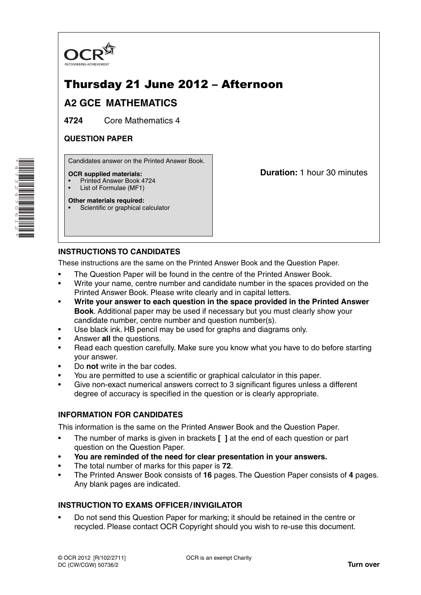

## Thursday 21 June 2012 – Afternoon

## **A2 GCE MATHEMATICS**

**4724** Core Mathematics 4

#### **QUESTION PAPER**

Candidates answer on the Printed Answer Book.

#### **OCR supplied materials:**

- Printed Answer Book 4724
- List of Formulae (MF1) **Other materials required:**

**Duration:** 1 hour 30 minutes

# **INSTRUCTIONS TO CANDIDATES**

Scientific or graphical calculator

These instructions are the same on the Printed Answer Book and the Question Paper.

- The Question Paper will be found in the centre of the Printed Answer Book.
- Write your name, centre number and candidate number in the spaces provided on the Printed Answer Book. Please write clearly and in capital letters.
- **Write your answer to each question in the space provided in the Printed Answer Book**. Additional paper may be used if necessary but you must clearly show your candidate number, centre number and question number(s).
- Use black ink. HB pencil may be used for graphs and diagrams only.
- Answer **all** the questions.
- Read each question carefully. Make sure you know what you have to do before starting your answer.
- Do **not** write in the bar codes.
- You are permitted to use a scientific or graphical calculator in this paper.
- Give non-exact numerical answers correct to 3 significant figures unless a different degree of accuracy is specified in the question or is clearly appropriate.

#### **INFORMATION FOR CANDIDATES**

This information is the same on the Printed Answer Book and the Question Paper.

- The number of marks is given in brackets **[ ]** at the end of each question or part question on the Question Paper.
- **You are reminded of the need for clear presentation in your answers.**
- The total number of marks for this paper is **72**.
- The Printed Answer Book consists of **16** pages. The Question Paper consists of **4** pages. Any blank pages are indicated.

#### **INSTRUCTION TO EXAMS OFFICER / INVIGILATOR**

• Do not send this Question Paper for marking; it should be retained in the centre or recycled. Please contact OCR Copyright should you wish to re-use this document.

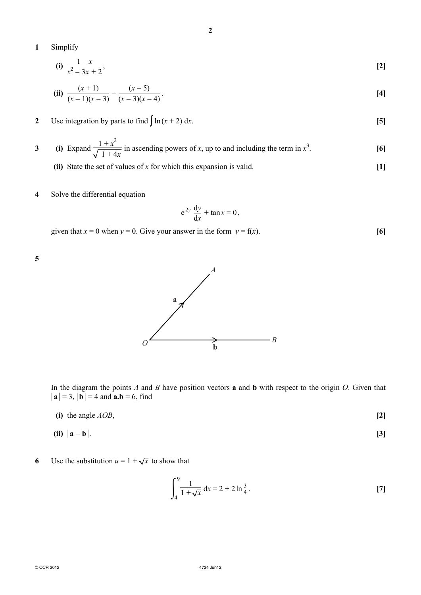**1** Simplify

(i) 
$$
\frac{1-x}{x^2-3x+2}
$$
, [2]

**2**

(ii) 
$$
\frac{(x+1)}{(x-1)(x-3)} - \frac{(x-5)}{(x-3)(x-4)}.
$$
 [4]

### **2** Use integration by parts to find  $\int \ln(x+2) dx$ . **[5]**

3 (i) Expand 
$$
\frac{1+x^2}{\sqrt{1+4x}}
$$
 in ascending powers of x, up to and including the term in  $x^3$ .

- **(ii)** State the set of values of *x* for which this expansion is valid. **[1]**
- **4** Solve the differential equation

$$
e^{2y}\frac{dy}{dx} + \tan x = 0,
$$

given that  $x = 0$  when  $y = 0$ . Give your answer in the form  $y = f(x)$ . [6]

**5**



In the diagram the points *A* and *B* have position vectors **a** and **b** with respect to the origin *O*. Given that  $|{\bf a}| = 3$ ,  $|{\bf b}| = 4$  and  ${\bf a}.{\bf b} = 6$ , find

(i) the angle 
$$
AOB
$$
,  $[2]$ 

$$
(ii) |a - b|.
$$

### **6** Use the substitution  $u = 1 + \sqrt{x}$  to show that

$$
\int_{4}^{9} \frac{1}{1 + \sqrt{x}} dx = 2 + 2 \ln \frac{3}{4}.
$$
 [7]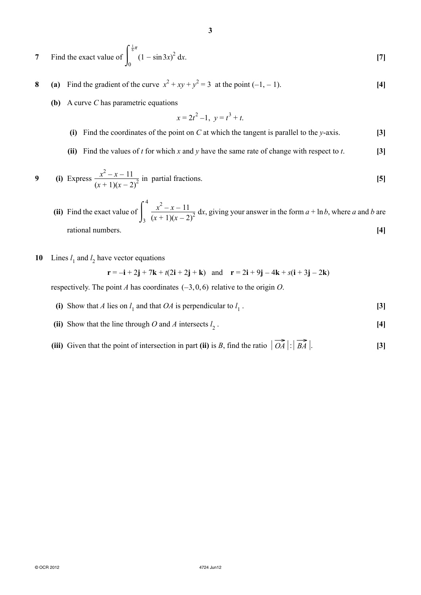7 Find the exact value of 
$$
\int_0^{\frac{1}{6}\pi} (1 - \sin 3x)^2 dx.
$$
 [7]

**3**

- **8** (a) Find the gradient of the curve  $x^2 + xy + y^2 = 3$  at the point  $(-1, -1)$ . [4]
	- **(b)** A curve *C* has parametric equations

$$
x = 2t^2 - 1, \ y = t^3 + t.
$$

- **(i)** Find the coordinates of the point on *C* at which the tangent is parallel to the *y*-axis. **[3]**
- **(ii)** Find the values of *t* for which *x* and *y* have the same rate of change with respect to *t*. **[3]**

9 (i) Express 
$$
\frac{x^2 - x - 11}{(x + 1)(x - 2)^2}
$$
 in partial fractions.

- (ii) Find the exact value of  $\int_3$  $\frac{x^2 - x - 11}{x^2 - x - 11}$  $\frac{x - x - 11}{(x + 1)(x - 2)^2}$  dx, giving your answer in the form  $a + \ln b$ , where *a* and *b* are *rational numbers.* [4]
- **10** Lines  $l_1$  and  $l_2$  have vector equations

$$
\mathbf{r} = -\mathbf{i} + 2\mathbf{j} + 7\mathbf{k} + t(2\mathbf{i} + 2\mathbf{j} + \mathbf{k}) \quad \text{and} \quad \mathbf{r} = 2\mathbf{i} + 9\mathbf{j} - 4\mathbf{k} + s(\mathbf{i} + 3\mathbf{j} - 2\mathbf{k})
$$

respectively. The point *A* has coordinates (−3, 0, 6) relative to the origin *O*.

- (i) Show that *A* lies on  $l_1$  and that *OA* is perpendicular to  $l_1$ . **[3]**
- (ii) Show that the line through *O* and *A* intersects  $l_2$ . **[4]**
- **(iii)** Given that the point of intersection in part (ii) is *B*, find the ratio  $\left| \overrightarrow{OA} \right| : \left| \overrightarrow{BA} \right|$ . **[3]**